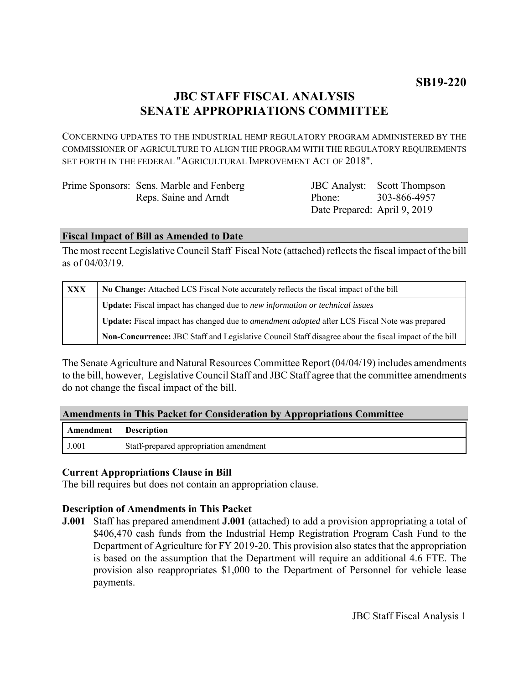# **JBC STAFF FISCAL ANALYSIS SENATE APPROPRIATIONS COMMITTEE**

CONCERNING UPDATES TO THE INDUSTRIAL HEMP REGULATORY PROGRAM ADMINISTERED BY THE COMMISSIONER OF AGRICULTURE TO ALIGN THE PROGRAM WITH THE REGULATORY REQUIREMENTS SET FORTH IN THE FEDERAL "AGRICULTURAL IMPROVEMENT ACT OF 2018".

| Prime Sponsors: Sens. Marble and Fenberg |                              | <b>JBC</b> Analyst: Scott Thompson |
|------------------------------------------|------------------------------|------------------------------------|
| Reps. Saine and Arndt                    | Phone:                       | 303-866-4957                       |
|                                          | Date Prepared: April 9, 2019 |                                    |

### **Fiscal Impact of Bill as Amended to Date**

The most recent Legislative Council Staff Fiscal Note (attached) reflects the fiscal impact of the bill as of 04/03/19.

| <b>XXX</b> | No Change: Attached LCS Fiscal Note accurately reflects the fiscal impact of the bill                 |  |
|------------|-------------------------------------------------------------------------------------------------------|--|
|            | Update: Fiscal impact has changed due to new information or technical issues                          |  |
|            | Update: Fiscal impact has changed due to <i>amendment adopted</i> after LCS Fiscal Note was prepared  |  |
|            | Non-Concurrence: JBC Staff and Legislative Council Staff disagree about the fiscal impact of the bill |  |

The Senate Agriculture and Natural Resources Committee Report (04/04/19) includes amendments to the bill, however, Legislative Council Staff and JBC Staff agree that the committee amendments do not change the fiscal impact of the bill.

## **Amendments in This Packet for Consideration by Appropriations Committee**

| <b>Amendment</b> Description |                                        |
|------------------------------|----------------------------------------|
| J.001                        | Staff-prepared appropriation amendment |

## **Current Appropriations Clause in Bill**

The bill requires but does not contain an appropriation clause.

## **Description of Amendments in This Packet**

**J.001** Staff has prepared amendment **J.001** (attached) to add a provision appropriating a total of \$406,470 cash funds from the Industrial Hemp Registration Program Cash Fund to the Department of Agriculture for FY 2019-20. This provision also states that the appropriation is based on the assumption that the Department will require an additional 4.6 FTE. The provision also reappropriates \$1,000 to the Department of Personnel for vehicle lease payments.